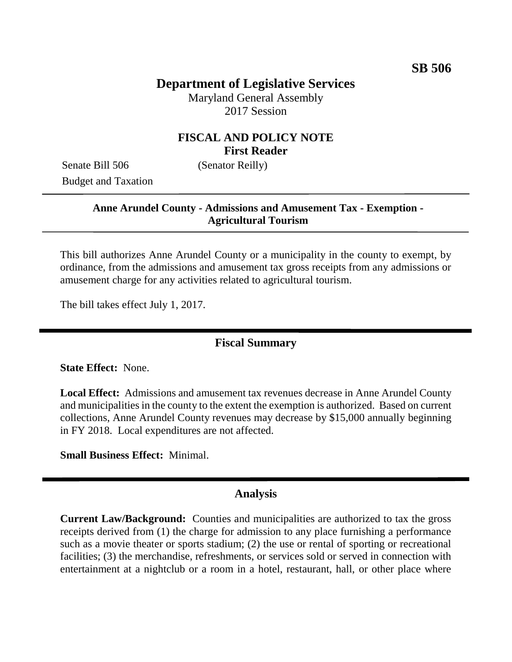# **Department of Legislative Services**

Maryland General Assembly 2017 Session

# **FISCAL AND POLICY NOTE First Reader**

Senate Bill 506 (Senator Reilly) Budget and Taxation

### **Anne Arundel County - Admissions and Amusement Tax - Exemption - Agricultural Tourism**

This bill authorizes Anne Arundel County or a municipality in the county to exempt, by ordinance, from the admissions and amusement tax gross receipts from any admissions or amusement charge for any activities related to agricultural tourism.

The bill takes effect July 1, 2017.

### **Fiscal Summary**

**State Effect:** None.

**Local Effect:** Admissions and amusement tax revenues decrease in Anne Arundel County and municipalities in the county to the extent the exemption is authorized. Based on current collections, Anne Arundel County revenues may decrease by \$15,000 annually beginning in FY 2018. Local expenditures are not affected.

**Small Business Effect:** Minimal.

#### **Analysis**

**Current Law/Background:** Counties and municipalities are authorized to tax the gross receipts derived from (1) the charge for admission to any place furnishing a performance such as a movie theater or sports stadium; (2) the use or rental of sporting or recreational facilities; (3) the merchandise, refreshments, or services sold or served in connection with entertainment at a nightclub or a room in a hotel, restaurant, hall, or other place where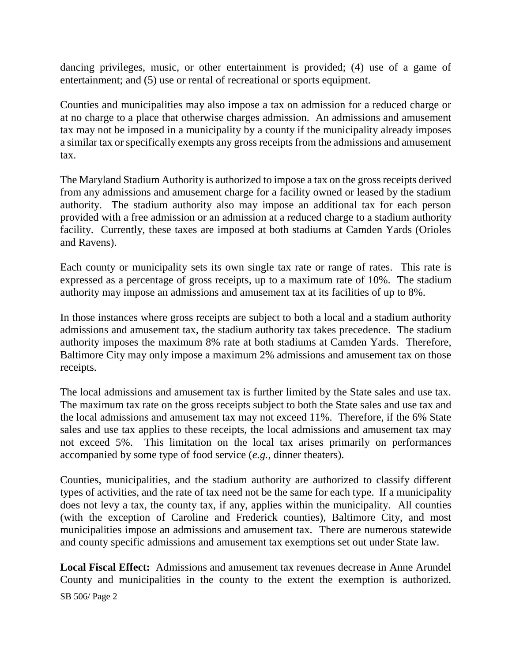dancing privileges, music, or other entertainment is provided; (4) use of a game of entertainment; and (5) use or rental of recreational or sports equipment.

Counties and municipalities may also impose a tax on admission for a reduced charge or at no charge to a place that otherwise charges admission. An admissions and amusement tax may not be imposed in a municipality by a county if the municipality already imposes a similar tax or specifically exempts any gross receipts from the admissions and amusement tax.

The Maryland Stadium Authority is authorized to impose a tax on the gross receipts derived from any admissions and amusement charge for a facility owned or leased by the stadium authority. The stadium authority also may impose an additional tax for each person provided with a free admission or an admission at a reduced charge to a stadium authority facility. Currently, these taxes are imposed at both stadiums at Camden Yards (Orioles and Ravens).

Each county or municipality sets its own single tax rate or range of rates. This rate is expressed as a percentage of gross receipts, up to a maximum rate of 10%. The stadium authority may impose an admissions and amusement tax at its facilities of up to 8%.

In those instances where gross receipts are subject to both a local and a stadium authority admissions and amusement tax, the stadium authority tax takes precedence. The stadium authority imposes the maximum 8% rate at both stadiums at Camden Yards. Therefore, Baltimore City may only impose a maximum 2% admissions and amusement tax on those receipts.

The local admissions and amusement tax is further limited by the State sales and use tax. The maximum tax rate on the gross receipts subject to both the State sales and use tax and the local admissions and amusement tax may not exceed 11%. Therefore, if the 6% State sales and use tax applies to these receipts, the local admissions and amusement tax may not exceed 5%. This limitation on the local tax arises primarily on performances accompanied by some type of food service (*e.g.*, dinner theaters).

Counties, municipalities, and the stadium authority are authorized to classify different types of activities, and the rate of tax need not be the same for each type. If a municipality does not levy a tax, the county tax, if any, applies within the municipality. All counties (with the exception of Caroline and Frederick counties), Baltimore City, and most municipalities impose an admissions and amusement tax. There are numerous statewide and county specific admissions and amusement tax exemptions set out under State law.

**Local Fiscal Effect:** Admissions and amusement tax revenues decrease in Anne Arundel County and municipalities in the county to the extent the exemption is authorized.

SB 506/ Page 2